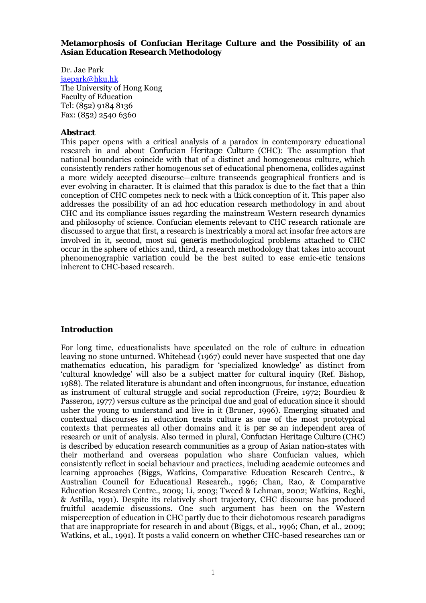## **Metamorphosis of Confucian Heritage Culture and the Possibility of an Asian Education Research Methodology**

Dr. Jae Park jaepark@hku.hk The University of Hong Kong Faculty of Education Tel: (852) 9184 8136 Fax: (852) 2540 6360

## **Abstract**

This paper opens with a critical analysis of a paradox in contemporary educational research in and about *Confucian Heritage Culture* (CHC): The assumption that national boundaries coincide with that of a distinct and homogeneous culture*,* which consistently renders rather homogenous set of educational phenomena, collides against a more widely accepted discourse—culture transcends geographical frontiers and is ever evolving in character. It is claimed that this paradox is due to the fact that a *thin*  conception of CHC competes neck to neck with a *thick* conception of it. This paper also addresses the possibility of an *ad hoc* education research methodology in and about CHC and its compliance issues regarding the mainstream Western research dynamics and philosophy of science. Confucian elements relevant to CHC research rationale are discussed to argue that first, a research is inextricably a moral act insofar free actors are involved in it, second, most *sui generis* methodological problems attached to CHC occur in the sphere of ethics and, third, a research methodology that takes into account phenomenographic *variation* could be the best suited to ease emic-etic tensions inherent to CHC-based research.

# **Introduction**

For long time, educationalists have speculated on the role of culture in education leaving no stone unturned. Whitehead (1967) could never have suspected that one day mathematics education, his paradigm for 'specialized knowledge' as distinct from 'cultural knowledge' will also be a subject matter for cultural inquiry (Ref. Bishop, 1988). The related literature is abundant and often incongruous, for instance, education as instrument of cultural struggle and social reproduction (Freire, 1972; Bourdieu & Passeron, 1977) versus culture as the principal due and goal of education since it should usher the young to understand and live in it (Bruner, 1996). Emerging situated and contextual discourses in education treats culture as one of the most prototypical contexts that permeates all other domains and it is *per se* an independent area of research or unit of analysis. Also termed in plural, *Confucian Heritage Culture* (CHC) is described by education research communities as a group of Asian nation-states with their motherland and overseas population who share Confucian values, which consistently reflect in social behaviour and practices, including academic outcomes and learning approaches (Biggs, Watkins, Comparative Education Research Centre., & Australian Council for Educational Research., 1996; Chan, Rao, & Comparative Education Research Centre., 2009; Li, 2003; Tweed & Lehman, 2002; Watkins, Reghi, & Astilla, 1991). Despite its relatively short trajectory, CHC discourse has produced fruitful academic discussions. One such argument has been on the Western misperception of education in CHC partly due to their dichotomous research paradigms that are inappropriate for research in and about (Biggs, et al., 1996; Chan, et al., 2009; Watkins, et al., 1991). It posts a valid concern on whether CHC-based researches can or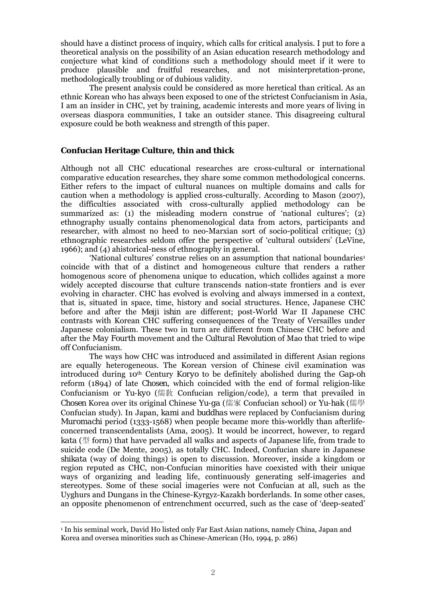should have a distinct process of inquiry, which calls for critical analysis. I put to fore a theoretical analysis on the possibility of an Asian education research methodology and conjecture what kind of conditions such a methodology should meet if it were to produce plausible and fruitful researches, and not misinterpretation-prone, methodologically troubling or of dubious validity.

The present analysis could be considered as more heretical than critical. As an ethnic Korean who has always been exposed to one of the strictest Confucianism in Asia, I am an insider in CHC, yet by training, academic interests and more years of living in overseas diaspora communities, I take an outsider stance. This disagreeing cultural exposure could be both weakness and strength of this paper.

# **Confucian Heritage Culture,** *thin* **and** *thick*

Although not all CHC educational researches are cross-cultural or international comparative education researches, they share some common methodological concerns. Either refers to the impact of cultural nuances on multiple domains and calls for caution when a methodology is applied cross-culturally. According to Mason (2007), the difficulties associated with cross-culturally applied methodology can be summarized as: (1) the misleading modern construe of 'national cultures'; (2) ethnography usually contains phenomenological data from actors, participants and researcher, with almost no heed to neo-Marxian sort of socio-political critique; (3) ethnographic researches seldom offer the perspective of 'cultural outsiders' (LeVine, 1966); and (4) ahistorical-ness of ethnography in general.

'National cultures' construe relies on an assumption that national boundaries<sup>1</sup> coincide with that of a distinct and homogeneous culture that renders a rather homogenous score of phenomena unique to education, which collides against a more widely accepted discourse that culture transcends nation-state frontiers and is ever evolving in character. CHC has evolved is evolving and always immersed in a context, that is, situated in space, time, history and social structures. Hence, Japanese CHC before and after the *Meiji ishin* are different; post-World War II Japanese CHC contrasts with Korean CHC suffering consequences of the Treaty of Versailles under Japanese colonialism. These two in turn are different from Chinese CHC before and after the *May Fourth* movement and the *Cultural Revolution* of Mao that tried to wipe off Confucianism.

The ways how CHC was introduced and assimilated in different Asian regions are equally heterogeneous. The Korean version of Chinese civil examination was introduced during 10th Century *Koryo* to be definitely abolished during the *Gap-oh* reform (1894) of late *Chosen*, which coincided with the end of formal religion-like Confucianism or *Yu-kyo* (儒敎 Confucian religion/code), a term that prevailed in *Chosen* Korea over its original Chinese *Yu-ga* (儒家 Confucian school) or *Yu-hak* (儒學 Confucian study). In Japan, *kami* and *buddhas* were replaced by Confucianism during *Muromachi* period (1333-1568) when people became more this-worldly than afterlifeconcerned transcendentalists (Ama, 2005). It would be incorrect, however, to regard *kata* (型 form) that have pervaded all walks and aspects of Japanese life, from trade to suicide code (De Mente, 2005), as totally CHC. Indeed, Confucian share in Japanese *shikata* (way of doing things) is open to discussion. Moreover, inside a kingdom or region reputed as CHC, non-Confucian minorities have coexisted with their unique ways of organizing and leading life, continuously generating self-imageries and stereotypes. Some of these social imageries were not Confucian at all, such as the Uyghurs and Dungans in the Chinese-Kyrgyz-Kazakh borderlands. In some other cases, an opposite phenomenon of entrenchment occurred, such as the case of 'deep-seated'

 $\overline{a}$ 

<sup>1</sup> In his seminal work, David Ho listed only Far East Asian nations, namely China, Japan and Korea and oversea minorities such as Chinese-American (Ho, 1994, p. 286)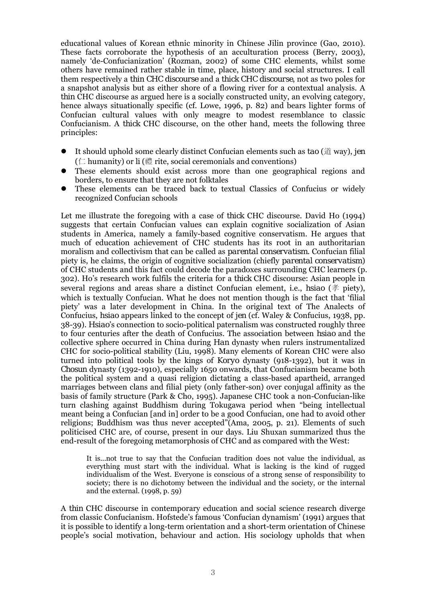educational values of Korean ethnic minority in Chinese Jilin province (Gao, 2010). These facts corroborate the hypothesis of an acculturation process (Berry, 2003), namely 'de-Confucianization' (Rozman, 2002) of some CHC elements, whilst some others have remained rather stable in time, place, history and social structures. I call them respectively a *thin CHC discourse* and a *thick CHC discourse*, not as two poles for a snapshot analysis but as either shore of a flowing river for a contextual analysis. A *thin* CHC discourse as argued here is a socially constructed unity, an evolving category, hence always situationally specific (cf. Lowe, 1996, p. 82) and bears lighter forms of Confucian cultural values with only meagre to modest resemblance to classic Confucianism. A *thick* CHC discourse, on the other hand, meets the following three principles:

- It should uphold some clearly distinct Confucian elements such as *tao* (道 way), *jen* ( $\subset$  humanity) or *li* (禮 rite, social ceremonials and conventions)
- These elements should exist across more than one geographical regions and borders, to ensure that they are not folktales
- These elements can be traced back to textual Classics of Confucius or widely recognized Confucian schools

Let me illustrate the foregoing with a case of *thick* CHC discourse. David Ho (1994) suggests that certain Confucian values can explain cognitive socialization of Asian students in America, namely a family-based cognitive conservatism. He argues that much of education achievement of CHC students has its root in an authoritarian moralism and collectivism that can be called as *parental conservatism*. Confucian filial piety is, he claims, the origin of cognitive socialization (chiefly *parental conservatism*) of CHC students and this fact could decode the paradoxes surrounding CHC learners (p. 302). Ho's research work fulfils the criteria for a *thick* CHC discourse: Asian people in several regions and areas share a distinct Confucian element, i.e., *hsiao* (孝 piety), which is textually Confucian. What he does not mention though is the fact that 'filial piety' was a later development in China. In the original text of The Analects of Confucius, *hsiao* appears linked to the concept of *jen* (cf. Waley & Confucius, 1938, pp. 38-39). *Hsiao*'s connection to socio-political paternalism was constructed roughly three to four centuries after the death of Confucius. The association between *hsiao* and the collective sphere occurred in China during *Han* dynasty when rulers instrumentalized CHC for socio-political stability (Liu, 1998). Many elements of Korean CHC were also turned into political tools by the kings of *Koryo* dynasty (918-1392), but it was in *Chosun* dynasty (1392-1910), especially 1650 onwards, that Confucianism became both the political system and a quasi religion dictating a class-based apartheid, arranged marriages between clans and filial piety (only father-son) over conjugal affinity as the basis of family structure (Park & Cho, 1995). Japanese CHC took a non-Confucian-like turn clashing against Buddhism during Tokugawa period when "being intellectual meant being a Confucian [and in] order to be a good Confucian, one had to avoid other religions; Buddhism was thus never accepted"(Ama, 2005, p. 21). Elements of such politicised CHC are, of course, present in our days. Liu Shuxan summarized thus the end-result of the foregoing metamorphosis of CHC and as compared with the West:

It is...not true to say that the Confucian tradition does not value the individual, as everything must start with the individual. What is lacking is the kind of rugged individualism of the West. Everyone is conscious of a strong sense of responsibility to society; there is no dichotomy between the individual and the society, or the internal and the external. (1998, p. 59)

A *thin* CHC discourse in contemporary education and social science research diverge from classic Confucianism. Hofstede's famous 'Confucian dynamism' (1991) argues that it is possible to identify a long-term orientation and a short-term orientation of Chinese people's social motivation, behaviour and action. His sociology upholds that when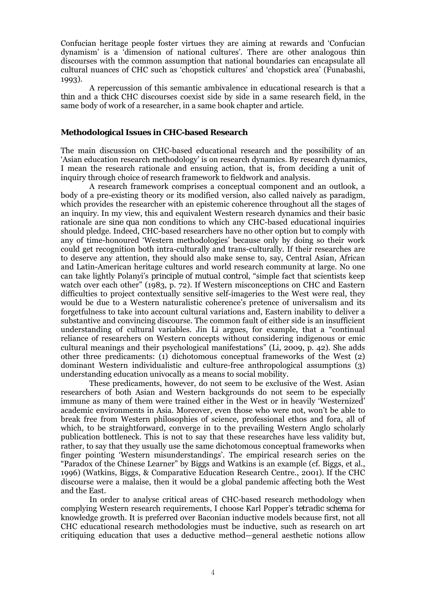Confucian heritage people foster virtues they are aiming at rewards and 'Confucian dynamism' is a 'dimension of national cultures'. There are other analogous *thin*  discourses with the common assumption that national boundaries can encapsulate all cultural nuances of CHC such as 'chopstick cultures' and 'chopstick area' (Funabashi, 1993).

A repercussion of this semantic ambivalence in educational research is that a *thin* and a *thick* CHC discourses coexist side by side in a same research field, in the same body of work of a researcher, in a same book chapter and article.

#### **Methodological Issues in CHC-based Research**

The main discussion on CHC-based educational research and the possibility of an 'Asian education research methodology' is on research dynamics. By research dynamics, I mean the research rationale and ensuing action, that is, from deciding a unit of inquiry through choice of research framework to fieldwork and analysis.

A research framework comprises a conceptual component and an outlook, a body of a pre-existing theory or its modified version, also called naively as paradigm, which provides the researcher with an epistemic coherence throughout all the stages of an inquiry. In my view, this and equivalent Western research dynamics and their basic rationale are *sine qua non* conditions to which any CHC-based educational inquiries should pledge. Indeed, CHC-based researchers have no other option but to comply with any of time-honoured 'Western methodologies' because only by doing so their work could get recognition both intra-culturally and trans-culturally. If their researches are to deserve any attention, they should also make sense to, say, Central Asian, African and Latin-American heritage cultures and world research community at large. No one can take lightly Polanyi's *principle of mutual control*, "simple fact that scientists keep watch over each other" (1983, p. 72). If Western misconceptions on CHC and Eastern difficulties to project contextually sensitive self-imageries to the West were real, they would be due to a Western naturalistic coherence's pretence of universalism and its forgetfulness to take into account cultural variations and, Eastern inability to deliver a substantive and convincing discourse. The common fault of either side is an insufficient understanding of cultural variables. Jin Li argues, for example, that a "continual reliance of researchers on Western concepts without considering indigenous or emic cultural meanings and their psychological manifestations" (Li, 2009, p. 42). She adds other three predicaments: (1) dichotomous conceptual frameworks of the West (2) dominant Western individualistic and culture-free anthropological assumptions (3) understanding education univocally as a means to social mobility.

These predicaments, however, do not seem to be exclusive of the West. Asian researchers of both Asian and Western backgrounds do not seem to be especially immune as many of them were trained either in the West or in heavily 'Westernized' academic environments in Asia. Moreover, even those who were not, won't be able to break free from Western philosophies of science, professional ethos and fora, all of which, to be straightforward, converge in to the prevailing Western Anglo scholarly publication bottleneck. This is not to say that these researches have less validity but, rather, to say that they usually use the same dichotomous conceptual frameworks when finger pointing 'Western misunderstandings'. The empirical research series on the "Paradox of the Chinese Learner" by Biggs and Watkins is an example (cf. Biggs, et al., 1996) (Watkins, Biggs, & Comparative Education Research Centre., 2001). If the CHC discourse were a malaise, then it would be a global pandemic affecting both the West and the East.

In order to analyse critical areas of CHC-based research methodology when complying Western research requirements, I choose Karl Popper's *tetradic schema* for knowledge growth. It is preferred over Baconian inductive models because first, not all CHC educational research methodologies must be inductive, such as research on art critiquing education that uses a deductive method—general aesthetic notions allow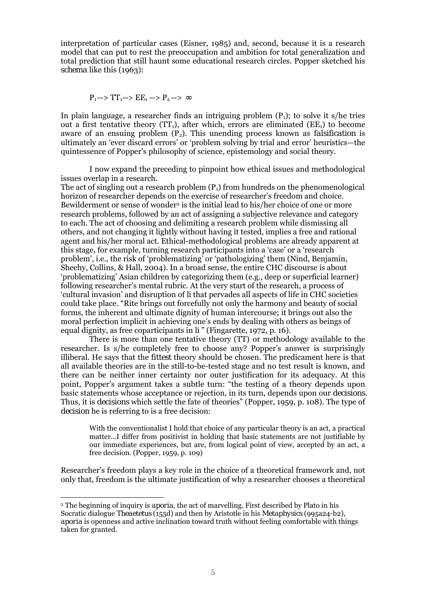interpretation of particular cases (Eisner, 1985) and, second, because it is a research model that can put to rest the preoccupation and ambition for total generalization and total prediction that still haunt some educational research circles. Popper sketched his *schema* like this (1963):

$$
P_1 \rightarrow TT_1 \rightarrow EE_1 \rightarrow P_2 \rightarrow \infty
$$

In plain language, a researcher finds an intriguing problem  $(P_1)$ ; to solve it s/he tries out a first tentative theory (TT1), after which, errors are eliminated (EE1) to become aware of an ensuing problem  $(P_2)$ . This unending process known as *falsification* is ultimately an 'ever discard errors' or 'problem solving by trial and error' heuristics—the quintessence of Popper's philosophy of science, epistemology and social theory.

I now expand the preceding to pinpoint how ethical issues and methodological issues overlap in a research.

The act of singling out a research problem  $(P_1)$  from hundreds on the phenomenological horizon of researcher depends on the exercise of researcher's freedom and choice. Bewilderment or sense of wonder<sup>2</sup> is the initial lead to his/her choice of one or more research problems, followed by an act of assigning a subjective relevance and category to each. The act of choosing and delimiting a research problem while dismissing all others, and not changing it lightly without having it tested, implies a free and rational agent and his/her moral act. Ethical-methodological problems are already apparent at this stage, for example, turning research participants into a 'case' or a 'research problem', i.e., the risk of 'problematizing' or 'pathologizing' them (Nind, Benjamin, Sheehy, Collins, & Hall, 2004). In a broad sense, the entire CHC discourse is about 'problematizing' Asian children by categorizing them (e.g., deep or superficial learner) following researcher's mental rubric. At the very start of the research, a process of 'cultural invasion' and disruption of *li* that pervades all aspects of life in CHC societies could take place*.* "Rite brings out forcefully not only the harmony and beauty of social forms, the inherent and ultimate dignity of human intercourse; it brings out also the moral perfection implicit in achieving one's ends by dealing with others as beings of equal dignity, as free coparticipants in *li*" (Fingarette, 1972, p. 16).

There is more than one tentative theory (TT) or methodology available to the researcher. Is s/he completely free to choose any? Popper's answer is surprisingly illiberal. He says that the *fittest* theory should be chosen. The predicament here is that all available theories are in the still-to-be-tested stage and no test result is known, and there can be neither inner certainty nor outer justification for its adequacy. At this point, Popper's argument takes a subtle turn: "the testing of a theory depends upon basic statements whose acceptance or rejection, in its turn, depends upon our *decisions*. Thus, it is *decisions* which settle the fate of theories" (Popper, 1959, p. 108). The type of *decision* he is referring to is a free decision:

With the conventionalist I hold that choice of any particular theory is an act, a practical matter...I differ from positivist in holding that basic statements are not justifiable by our immediate experiences, but are, from logical point of view, accepted by an act, a free decision. (Popper, 1959, p. 109)

Researcher's freedom plays a key role in the choice of a theoretical framework and, not only that, freedom is the ultimate justification of why a researcher chooses a theoretical

 $\overline{a}$ 

<sup>2</sup> The beginning of inquiry is *aporia*, the act of marvelling. First described by Plato in his Socratic dialogue *Theaetetus* (155d) and then by Aristotle in his *Metaphysics* (995a24-b2), *aporia* is openness and active inclination toward truth without feeling comfortable with things taken for granted.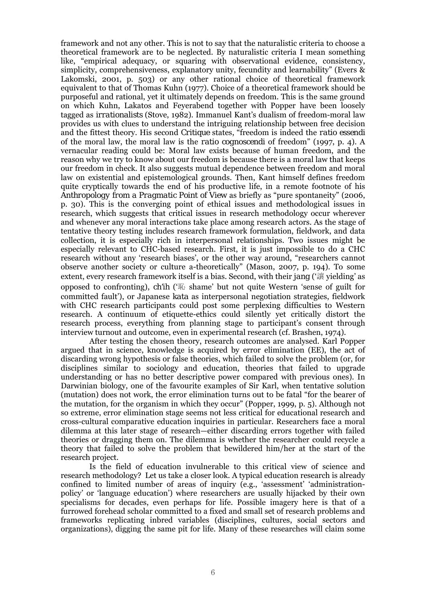framework and not any other. This is not to say that the naturalistic criteria to choose a theoretical framework are to be neglected. By naturalistic criteria I mean something like, "empirical adequacy, or squaring with observational evidence, consistency, simplicity, comprehensiveness, explanatory unity, fecundity and learnability" (Evers & Lakomski, 2001, p. 503) or any other rational choice of theoretical framework equivalent to that of Thomas Kuhn (1977). Choice of a theoretical framework should be purposeful and rational, yet it ultimately depends on freedom. This is the same ground on which Kuhn, Lakatos and Feyerabend together with Popper have been loosely tagged as *irrationalists* (Stove, 1982). Immanuel Kant's dualism of freedom-moral law provides us with clues to understand the intriguing relationship between free decision and the fittest theory. His second *Critique* states, "freedom is indeed the *ratio essendi* of the moral law, the moral law is the *ratio cognoscendi* of freedom" (1997, p. 4). A vernacular reading could be: Moral law exists because of human freedom, and the reason why we try to know about our freedom is because there is a moral law that keeps our freedom in check. It also suggests mutual dependence between freedom and moral law on existential and epistemological grounds. Then, Kant himself defines freedom quite cryptically towards the end of his productive life, in a remote footnote of his *Anthropology from a Pragmatic Point of View* as briefly as "pure spontaneity" (2006, p. 30). This is the converging point of ethical issues and methodological issues in research, which suggests that critical issues in research methodology occur wherever and whenever any moral interactions take place among research actors. As the stage of tentative theory testing includes research framework formulation, fieldwork, and data collection, it is especially rich in interpersonal relationships. Two issues might be especially relevant to CHC-based research. First, it is just impossible to do a CHC research without any 'research biases', or the other way around, "researchers cannot observe another society or culture a-theoretically" (Mason, 2007, p. 194). To some extent, every research framework itself is a bias. Second, with their *jang* ('讓 yielding' as opposed to confronting), *ch'ih* ('恥 shame' but not quite Western 'sense of guilt for committed fault'), or Japanese *kata* as interpersonal negotiation strategies, fieldwork with CHC research participants could post some perplexing difficulties to Western research. A continuum of etiquette-ethics could silently yet critically distort the research process, everything from planning stage to participant's consent through interview turnout and outcome, even in experimental research (cf. Brashen, 1974).

After testing the chosen theory, research outcomes are analysed. Karl Popper argued that in science, knowledge is acquired by error elimination (EE), the act of discarding wrong hypothesis or false theories, which failed to solve the problem (or, for disciplines similar to sociology and education, theories that failed to upgrade understanding or has no better descriptive power compared with previous ones). In Darwinian biology, one of the favourite examples of Sir Karl, when tentative solution (mutation) does not work, the error elimination turns out to be fatal "for the bearer of the mutation, for the organism in which they occur" (Popper, 1999, p. 5). Although not so extreme, error elimination stage seems not less critical for educational research and cross-cultural comparative education inquiries in particular. Researchers face a moral dilemma at this later stage of research—either discarding errors together with failed theories or dragging them on. The dilemma is whether the researcher could recycle a theory that failed to solve the problem that bewildered him/her at the start of the research project.

Is the field of education invulnerable to this critical view of science and research methodology? Let us take a closer look. A typical education research is already confined to limited number of areas of inquiry (e.g., 'assessment' 'administrationpolicy' or 'language education') where researchers are usually hijacked by their own specialisms for decades, even perhaps for life. Possible imagery here is that of a furrowed forehead scholar committed to a fixed and small set of research problems and frameworks replicating inbred variables (disciplines, cultures, social sectors and organizations), digging the same pit for life. Many of these researches will claim some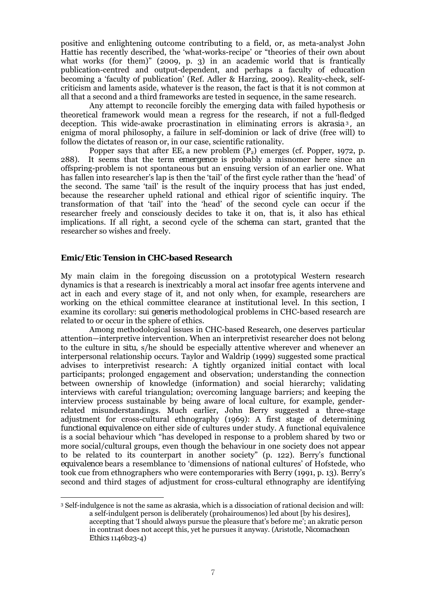positive and enlightening outcome contributing to a field, or, as meta-analyst John Hattie has recently described, the 'what-works-recipe' or "theories of their own about what works (for them)" (2009, p. 3) in an academic world that is frantically publication-centred and output-dependent, and perhaps a faculty of education becoming a 'faculty of publication' (Ref. Adler & Harzing, 2009). Reality-check, selfcriticism and laments aside, whatever is the reason, the fact is that it is not common at all that a second and a third frameworks are tested in sequence, in the same research.

Any attempt to reconcile forcibly the emerging data with failed hypothesis or theoretical framework would mean a regress for the research, if not a full-fledged deception. This wide-awake procrastination in eliminating errors is *akrasia* <sup>3</sup> *,* an enigma of moral philosophy, a failure in self-dominion or lack of drive (free will) to follow the dictates of reason or, in our case, scientific rationality.

Popper says that after  $EE_1$  a new problem  $(P_2)$  emerges (cf. Popper, 1972, p. 288). It seems that the term *emergence* is probably a misnomer here since an offspring-problem is not spontaneous but an ensuing version of an earlier one. What has fallen into researcher's lap is then the 'tail' of the first cycle rather than the 'head' of the second. The same 'tail' is the result of the inquiry process that has just ended, because the researcher upheld rational and ethical rigor of scientific inquiry. The transformation of that 'tail' into the 'head' of the second cycle can occur if the researcher freely and consciously decides to take it on, that is, it also has ethical implications. If all right, a second cycle of the *schema* can start, granted that the researcher so wishes and freely.

## **Emic/Etic Tension in CHC-based Research**

 $\overline{a}$ 

My main claim in the foregoing discussion on a prototypical Western research dynamics is that a research is inextricably a moral act insofar free agents intervene and act in each and every stage of it, and not only when, for example, researchers are working on the ethical committee clearance at institutional level. In this section, I examine its corollary: *sui generis* methodological problems in CHC-based research are related to or occur in the sphere of ethics.

Among methodological issues in CHC-based Research, one deserves particular attention—interpretive intervention. When an interpretivist researcher does not belong to the culture *in situ*, s/he should be especially attentive wherever and whenever an interpersonal relationship occurs. Taylor and Waldrip (1999) suggested some practical advises to interpretivist research: A tightly organized initial contact with local participants; prolonged engagement and observation; understanding the connection between ownership of knowledge (information) and social hierarchy; validating interviews with careful triangulation; overcoming language barriers; and keeping the interview process sustainable by being aware of local culture, for example, genderrelated misunderstandings. Much earlier, John Berry suggested a three-stage adjustment for cross-cultural ethnography (1969): A first stage of determining *functional equivalence* on either side of cultures under study. A functional equivalence is a social behaviour which "has developed in response to a problem shared by two or more social/cultural groups, even though the behaviour in one society does not appear to be related to its counterpart in another society" (p. 122). Berry's *functional equivalence* bears a resemblance to 'dimensions of national cultures' of Hofstede, who took cue from ethnographers who were contemporaries with Berry (1991, p. 13). Berry's second and third stages of adjustment for cross-cultural ethnography are identifying

<sup>3</sup> Self-indulgence is not the same as *akrasia*, which is a dissociation of rational decision and will: a self-indulgent person is deliberately (prohairoumenos) led about [by his desires], accepting that 'I should always pursue the pleasure that's before me'; an akratic person in contrast does not accept this, yet he pursues it anyway. (Aristotle, *Nicomachean Ethics* 1146b23-4)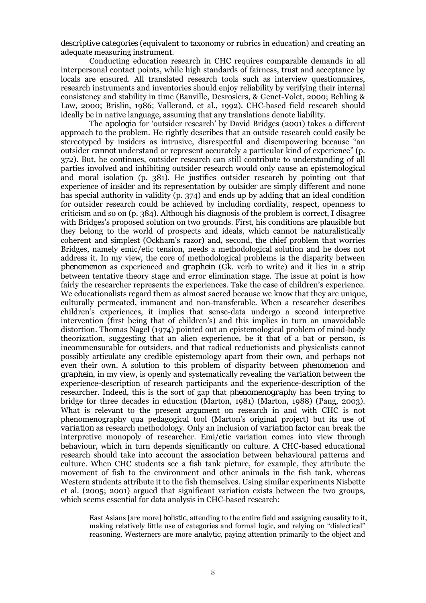*descriptive categories* (equivalent to taxonomy or rubrics in education) and creating an adequate measuring instrument.

Conducting education research in CHC requires comparable demands in all interpersonal contact points, while high standards of fairness, trust and acceptance by locals are ensured. All translated research tools such as interview questionnaires, research instruments and inventories should enjoy reliability by verifying their internal consistency and stability in time (Banville, Desrosiers, & Genet-Volet, 2000; Behling & Law, 2000; Brislin, 1986; Vallerand, et al., 1992). CHC-based field research should ideally be in native language, assuming that any translations denote liability.

The *apologia* for 'outsider research' by David Bridges (2001) takes a different approach to the problem. He rightly describes that an outside research could easily be stereotyped by insiders as intrusive, disrespectful and disempowering because "an outsider *cannot* understand or represent accurately a particular kind of experience" (p. 372). But, he continues, outsider research can still contribute to understanding of all parties involved and inhibiting outsider research would only cause an epistemological and moral isolation (p. 381). He justifies outsider research by pointing out that experience of *insider* and its representation by *outsider* are simply different and none has special authority in validity (p. 374) and ends up by adding that an ideal condition for outsider research could be achieved by including cordiality, respect, openness to criticism and so on (p. 384). Although his diagnosis of the problem is correct, I disagree with Bridges's proposed solution on two grounds. First, his conditions are plausible but they belong to the world of prospects and ideals, which cannot be naturalistically coherent and simplest (Ockham's razor) and, second, the chief problem that worries Bridges, namely emic/etic tension, needs a methodological solution and he does not address it. In my view, the core of methodological problems is the disparity between *phenomenon* as experienced and *graphein* (Gk. verb to write) and it lies in a strip between tentative theory stage and error elimination stage. The issue at point is how fairly the researcher represents the experiences. Take the case of children's experience. We educationalists regard them as almost sacred because we know that they are unique, culturally permeated, immanent and non-transferable. When a researcher describes children's experiences, it implies that sense-data undergo a second interpretive intervention (first being that of children's) and this implies in turn an unavoidable distortion. Thomas Nagel (1974) pointed out an epistemological problem of mind-body theorization, suggesting that an alien experience, be it that of a bat or person, is incommensurable for outsiders, and that radical reductionists and physicalists cannot possibly articulate any credible epistemology apart from their own, and perhaps not even their own. A solution to this problem of disparity between *phenomenon* and *graphein*, in my view, is openly and systematically revealing the *variation* between the experience-description of research participants and the experience-description of the researcher. Indeed, this is the sort of gap that *phenomenography* has been trying to bridge for three decades in education (Marton, 1981) (Marton, 1988) (Pang, 2003). What is relevant to the present argument on research in and with CHC is not phenomenography qua pedagogical tool (Marton's original project) but its use of *variation* as research methodology. Only an inclusion of *variation* factor can break the interpretive monopoly of researcher. Emi/etic variation comes into view through behaviour, which in turn depends significantly on culture. A CHC-based educational research should take into account the association between behavioural patterns and culture. When CHC students see a fish tank picture, for example, they attribute the movement of fish to the environment and other animals in the fish tank, whereas Western students attribute it to the fish themselves. Using similar experiments Nisbette et al. (2005; 2001) argued that significant variation exists between the two groups, which seems essential for data analysis in CHC-based research:

East Asians [are more] *holistic*, attending to the entire field and assigning causality to it, making relatively little use of categories and formal logic, and relying on "dialectical" reasoning. Westerners are more *analytic*, paying attention primarily to the object and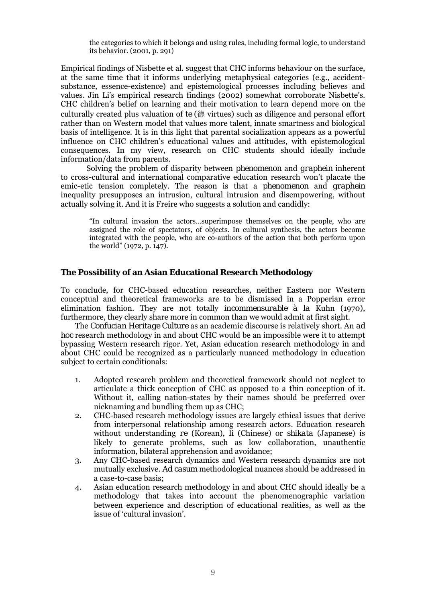the categories to which it belongs and using rules, including formal logic, to understand its behavior. (2001, p. 291)

Empirical findings of Nisbette et al. suggest that CHC informs behaviour on the surface, at the same time that it informs underlying metaphysical categories (e.g., accidentsubstance, essence-existence) and epistemological processes including believes and values. Jin Li's empirical research findings (2002) somewhat corroborate Nisbette's. CHC children's belief on learning and their motivation to learn depend more on the culturally created plus valuation of *te* (德 virtues) such as diligence and personal effort rather than on Western model that values more talent, innate smartness and biological basis of intelligence. It is in this light that parental socialization appears as a powerful influence on CHC children's educational values and attitudes, with epistemological consequences. In my view, research on CHC students should ideally include information/data from parents.

 Solving the problem of disparity between *phenomenon* and *graphein* inherent to cross-cultural and international comparative education research won't placate the emic-etic tension completely. The reason is that a *phenomenon* and *graphein* inequality presupposes an intrusion, cultural intrusion and disempowering, without actually solving it. And it is Freire who suggests a solution and candidly:

"In cultural invasion the actors…superimpose themselves on the people, who are assigned the role of spectators, of objects. In cultural synthesis, the actors become integrated with the people, who are co-authors of the action that both perform upon the world" (1972, p. 147).

## **The Possibility of an Asian Educational Research Methodology**

To conclude, for CHC-based education researches, neither Eastern nor Western conceptual and theoretical frameworks are to be dismissed in a Popperian error elimination fashion. They are not totally *incommensurable à la* Kuhn (1970), furthermore, they clearly share more in common than we would admit at first sight.

The *Confucian Heritage Culture* as an academic discourse is relatively short. An *ad hoc* research methodology in and about CHC would be an impossible were it to attempt bypassing Western research rigor. Yet, Asian education research methodology in and about CHC could be recognized as a particularly nuanced methodology in education subject to certain conditionals:

- 1. Adopted research problem and theoretical framework should not neglect to articulate a *thick* conception of CHC as opposed to a *thin* conception of it. Without it, calling nation-states by their names should be preferred over nicknaming and bundling them up as CHC;
- 2. CHC-based research methodology issues are largely ethical issues that derive from interpersonal relationship among research actors. Education research without understanding *re* (Korean), *li* (Chinese) or *shikata* (Japanese) is likely to generate problems, such as low collaboration, unauthentic information, bilateral apprehension and avoidance;
- 3. Any CHC-based research dynamics and Western research dynamics are not mutually exclusive. *Ad casum* methodological nuances should be addressed in a case-to-case basis;
- 4. Asian education research methodology in and about CHC should ideally be a methodology that takes into account the phenomenographic variation between experience and description of educational realities, as well as the issue of 'cultural invasion'.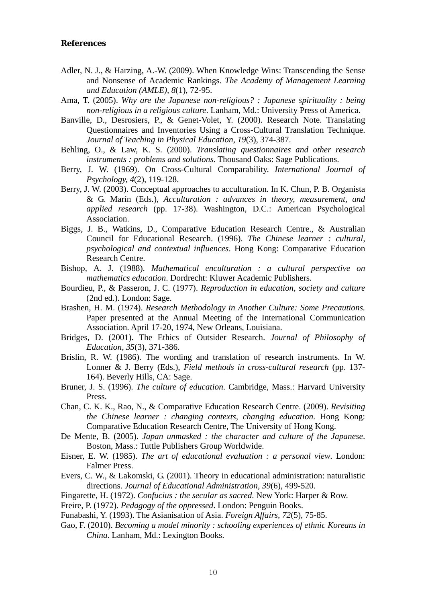## **References**

- Adler, N. J., & Harzing, A.-W. (2009). When Knowledge Wins: Transcending the Sense and Nonsense of Academic Rankings. *The Academy of Management Learning and Education (AMLE), 8*(1), 72-95.
- Ama, T. (2005). *Why are the Japanese non-religious? : Japanese spirituality : being non-religious in a religious culture*. Lanham, Md.: University Press of America.
- Banville, D., Desrosiers, P., & Genet-Volet, Y. (2000). Research Note. Translating Questionnaires and Inventories Using a Cross-Cultural Translation Technique. *Journal of Teaching in Physical Education, 19*(3), 374-387.
- Behling, O., & Law, K. S. (2000). *Translating questionnaires and other research instruments : problems and solutions*. Thousand Oaks: Sage Publications.
- Berry, J. W. (1969). On Cross-Cultural Comparability. *International Journal of Psychology, 4*(2), 119-128.
- Berry, J. W. (2003). Conceptual approaches to acculturation. In K. Chun, P. B. Organista & G. Marín (Eds.), *Acculturation : advances in theory, measurement, and applied research* (pp. 17-38). Washington, D.C.: American Psychological Association.
- Biggs, J. B., Watkins, D., Comparative Education Research Centre., & Australian Council for Educational Research. (1996). *The Chinese learner : cultural, psychological and contextual influences*. Hong Kong: Comparative Education Research Centre.
- Bishop, A. J. (1988). *Mathematical enculturation : a cultural perspective on mathematics education*. Dordrecht: Kluwer Academic Publishers.
- Bourdieu, P., & Passeron, J. C. (1977). *Reproduction in education, society and culture* (2nd ed.). London: Sage.
- Brashen, H. M. (1974). *Research Methodology in Another Culture: Some Precautions.* Paper presented at the Annual Meeting of the International Communication Association. April 17-20, 1974, New Orleans, Louisiana.
- Bridges, D. (2001). The Ethics of Outsider Research. *Journal of Philosophy of Education, 35*(3), 371-386.
- Brislin, R. W. (1986). The wording and translation of research instruments. In W. Lonner & J. Berry (Eds.), *Field methods in cross-cultural research* (pp. 137- 164). Beverly Hills, CA: Sage.
- Bruner, J. S. (1996). *The culture of education*. Cambridge, Mass.: Harvard University Press.
- Chan, C. K. K., Rao, N., & Comparative Education Research Centre. (2009). *Revisiting the Chinese learner : changing contexts, changing education*. Hong Kong: Comparative Education Research Centre, The University of Hong Kong.
- De Mente, B. (2005). *Japan unmasked : the character and culture of the Japanese*. Boston, Mass.: Tuttle Publishers Group Worldwide.
- Eisner, E. W. (1985). *The art of educational evaluation : a personal view*. London: Falmer Press.
- Evers, C. W., & Lakomski, G. (2001). Theory in educational administration: naturalistic directions. *Journal of Educational Administration, 39*(6), 499-520.
- Fingarette, H. (1972). *Confucius : the secular as sacred*. New York: Harper & Row.
- Freire, P. (1972). *Pedagogy of the oppressed*. London: Penguin Books.

Funabashi, Y. (1993). The Asianisation of Asia. *Foreign Affairs, 72*(5), 75-85.

Gao, F. (2010). *Becoming a model minority : schooling experiences of ethnic Koreans in China*. Lanham, Md.: Lexington Books.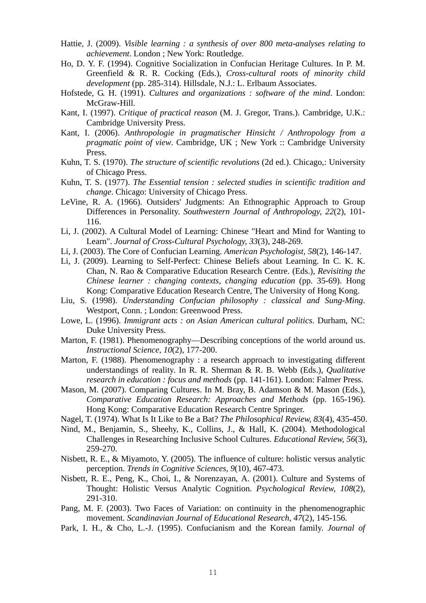- Hattie, J. (2009). *Visible learning : a synthesis of over 800 meta-analyses relating to achievement*. London ; New York: Routledge.
- Ho, D. Y. F. (1994). Cognitive Socialization in Confucian Heritage Cultures. In P. M. Greenfield & R. R. Cocking (Eds.), *Cross-cultural roots of minority child development* (pp. 285-314). Hillsdale, N.J.: L. Erlbaum Associates.
- Hofstede, G. H. (1991). *Cultures and organizations : software of the mind*. London: McGraw-Hill.
- Kant, I. (1997). *Critique of practical reason* (M. J. Gregor, Trans.). Cambridge, U.K.: Cambridge University Press.
- Kant, I. (2006). *Anthropologie in pragmatischer Hinsicht / Anthropology from a pragmatic point of view*. Cambridge, UK ; New York :: Cambridge University Press.
- Kuhn, T. S. (1970). *The structure of scientific revolutions* (2d ed.). Chicago,: University of Chicago Press.
- Kuhn, T. S. (1977). *The Essential tension : selected studies in scientific tradition and change*. Chicago: University of Chicago Press.
- LeVine, R. A. (1966). Outsiders' Judgments: An Ethnographic Approach to Group Differences in Personality. *Southwestern Journal of Anthropology, 22*(2), 101- 116.
- Li, J. (2002). A Cultural Model of Learning: Chinese "Heart and Mind for Wanting to Learn". *Journal of Cross-Cultural Psychology, 33*(3), 248-269.
- Li, J. (2003). The Core of Confucian Learning. *American Psychologist, 58*(2), 146-147.
- Li, J. (2009). Learning to Self-Perfect: Chinese Beliefs about Learning. In C. K. K. Chan, N. Rao & Comparative Education Research Centre. (Eds.), *Revisiting the Chinese learner : changing contexts, changing education* (pp. 35-69). Hong Kong: Comparative Education Research Centre, The University of Hong Kong.
- Liu, S. (1998). *Understanding Confucian philosophy : classical and Sung-Ming*. Westport, Conn. ; London: Greenwood Press.
- Lowe, L. (1996). *Immigrant acts : on Asian American cultural politics*. Durham, NC: Duke University Press.
- Marton, F. (1981). Phenomenography—Describing conceptions of the world around us. *Instructional Science, 10*(2), 177-200.
- Marton, F. (1988). Phenomenography : a research approach to investigating different understandings of reality. In R. R. Sherman & R. B. Webb (Eds.), *Qualitative research in education : focus and methods* (pp. 141-161). London: Falmer Press.
- Mason, M. (2007). Comparing Cultures. In M. Bray, B. Adamson & M. Mason (Eds.), *Comparative Education Research: Approaches and Methods* (pp. 165-196). Hong Kong: Comparative Education Research Centre Springer.
- Nagel, T. (1974). What Is It Like to Be a Bat? *The Philosophical Review, 83*(4), 435-450.
- Nind, M., Benjamin, S., Sheehy, K., Collins, J., & Hall, K. (2004). Methodological Challenges in Researching Inclusive School Cultures. *Educational Review, 56*(3), 259-270.
- Nisbett, R. E., & Miyamoto, Y. (2005). The influence of culture: holistic versus analytic perception. *Trends in Cognitive Sciences, 9*(10), 467-473.
- Nisbett, R. E., Peng, K., Choi, I., & Norenzayan, A. (2001). Culture and Systems of Thought: Holistic Versus Analytic Cognition. *Psychological Review, 108*(2), 291-310.
- Pang, M. F. (2003). Two Faces of Variation: on continuity in the phenomenographic movement. *Scandinavian Journal of Educational Research, 47*(2), 145-156.
- Park, I. H., & Cho, L.-J. (1995). Confucianism and the Korean family. *Journal of*